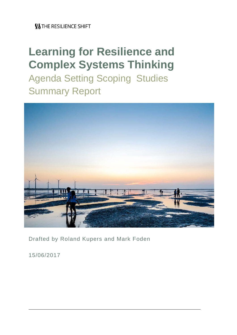# **Learning for Resilience and Complex Systems Thinking**

Agenda Setting Scoping Studies Summary Report



Drafted by Roland Kupers and Mark Foden

15/06/2017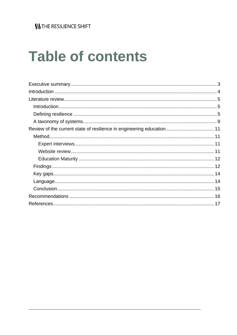# **Table of contents**

| Review of the current state of resilience in engineering education 11 |  |
|-----------------------------------------------------------------------|--|
|                                                                       |  |
|                                                                       |  |
|                                                                       |  |
|                                                                       |  |
|                                                                       |  |
|                                                                       |  |
|                                                                       |  |
|                                                                       |  |
|                                                                       |  |
|                                                                       |  |
|                                                                       |  |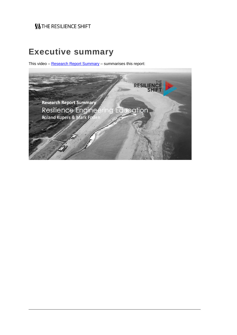## **Executive summary**

This video – [Research Report Summary](https://vimeo.com/220615391/84c284a0fe) – summarises this report:

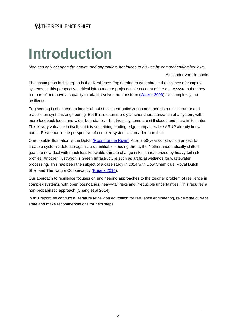# **Introduction**

*Man can only act upon the nature, and appropriate her forces to his use by comprehending her laws.*

Alexander von Humbold

The assumption in this report is that Resilience Engineering must embrace the science of complex systems. In this perspective critical infrastructure projects take account of the entire system that they are part of and have a capacity to adapt, evolve and transform [\(Walker 2006\)](https://islandpress.org/book/resilience-thinking): No complexity, no resilience.

Engineering is of course no longer about strict linear optimization and there is a rich literature and practice on systems engineering. But this is often merely a richer characterization of a system, with more feedback loops and wider boundaries – but those systems are still closed and have finite states. This is very valuable in itself, but it is something leading edge companies like ARUP already know about. Resilience in the perspective of complex systems is broader than that.

One notable illustration is the Dutch ["Room for the River".](https://www.ruimtevoorderivier.nl/english/) After a 50-year construction project to create a systemic defence against a quantifiable flooding threat, the Netherlands radically shifted gears to now deal with much less knowable climate change risks, characterized by heavy-tail risk profiles. Another illustration is Green Infrastructure such as artificial wetlands for wastewater processing. This has been the subject of a case study in 2014 with Dow Chemicals, Royal Dutch Shell and The Nature Conservancy [\(Kupers 2014\)](http://www.oapen.org/download?type=document&docid=477310).

Our approach to resilience focuses on engineering approaches to the tougher problem of resilience in complex systems, with open boundaries, heavy-tail risks and irreducible uncertainties. This requires a non-probabilistic approach (Chang et al 2014).

In this report we conduct a literature review on education for resilience engineering, review the current state and make recommendations for next steps.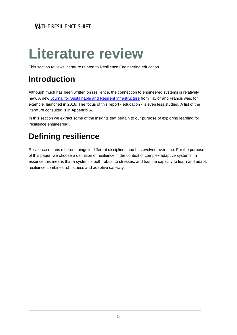# **Literature review**

This section reviews literature related to Resilience Engineering education.

## **Introduction**

Although much has been written on resilience, the connection to engineered systems is relatively new. A new [Journal for Sustainable and Resilient Infrastructure](http://www.tandfonline.com/loi/tsri20?open=2&year=2017&repitition=0#vol_2_2017) from Taylor and Francis was, for example, launched in 2016. The focus of this report - education - is even less studied. A list of the literature consulted is in Appendix A.

In this section we extract some of the insights that pertain to our purpose of exploring learning for 'resilience engineering'.

# **Defining resilience**

Resilience means different things in different disciplines and has evolved over time. For the purpose of this paper, we choose a definition of resilience in the context of complex adaptive systems. In essence this means that a system is both robust to stresses, and has the capacity to learn and adapt: resilience combines robustness and adaptive capacity.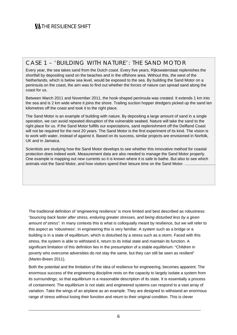#### CASE 1 – 'BUILDING WITH NATURE': THE SAND MOTOR

Every year, the sea takes sand from the Dutch coast. Every five years, Rijkswaterstaat replenishes the shortfall by depositing sand on the beaches and in the offshore area. Without this, the west of the Netherlands, which is below sea level, would be exposed to the sea. By building the Sand Motor on a peninsula on the coast, the aim was to find out whether the forces of nature can spread sand along the coast for us.

Between March 2011 and November 2011, the hook-shaped peninsula was created. It extends 1 km into the sea and is 2 km wide where it joins the shore. Trailing suction hopper dredgers picked up the sand ten kilometres off the coast and took it to the right place.

The Sand Motor is an example of building with nature. By depositing a large amount of sand in a single operation, we can avoid repeated disruption of the vulnerable seabed. Nature will take the sand to the right place for us. If the Sand Motor fulfills our expectations, sand replenishment off the Delfland Coast will not be required for the next 20 years. The Sand Motor is the first experiment of its kind. The vision is to work with water, instead of against it. Based on its success, similar projects are envisioned in Norfolk, UK and in Jamaica.

Scientists are studying how the Sand Motor develops to see whether this innovative method for coastal protection does indeed work. Measurement data are also needed to manage the Sand Motor properly. One example is mapping out new currents so it is known where it is safe to bathe. But also to see which animals visit the Sand Motor, and how visitors spend their leisure time on the Sand Motor. .........................

The traditional definition of 'engineering resilience' is more limited and best described as robustness: "*bouncing back faster after stress, enduring greater stresses, and being disturbed less by a given amount of stress".* In many contexts this is what is colloquially meant by resilience, but we will refer to this aspect as 'robustness'. In engineering this is very familiar. A system such as a bridge or a building is in a state of equilibrium, which is disturbed by a stress such as a storm. Faced with this stress, the system is able to withstand it, return to its initial state and maintain its function. A significant limitation of this definition lies in the presumption of a stable equilibrium: "Children in poverty who overcome adversities do not stay the same, but they can still be seen as resilient" (Martin-Breen 2011).

Both the potential and the limitation of the idea of resilience for engineering, becomes apparent. The enormous success of the engineering discipline rests on the capacity to largely isolate a system from its surroundings; so that equilibrium is a reasonable description of its state. It is essentially a process of containment. The equilibrium is not static and engineered systems can respond to a vast array of variation. Take the wings of an airplane as an example. They are designed to withstand an enormous range of stress without losing their function and return to their original condition. This is clever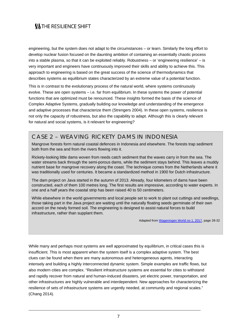engineering, but the system does not adapt to the circumstances – or learn. Similarly the long effort to develop nuclear fusion focused on the daunting ambition of containing an essentially chaotic process into a stable plasma, so that it can be exploited reliably. Robustness – or 'engineering resilience' – is very important and engineers have continuously improved their skills and ability to achieve this. This approach to engineering is based on the great success of the science of thermodynamics that describes systems as equilibrium states characterized by an extreme value of a potential function.

This is in contrast to the evolutionary process of the natural world, where systems continuously evolve. These are open systems – i.e. far from equilibrium. In these systems the power of potential functions that are optimized must be renounced. These insights formed the basis of the science of Complex Adaptive Systems, gradually building our knowledge and understanding of the emergence and adaptive processes that characterize them (Strengers 2004). In these open systems, resilience is not only the capacity of robustness, but also the capability to adapt. Although this is clearly relevant for natural and social systems, is it relevant for engineering?

#### CASE 2 – WEAVING RICKETY DAMS IN INDONESIA

Mangrove forests form natural coastal defences in Indonesia and elsewhere. The forests trap sediment both from the sea and from the rivers flowing into it.

Rickety-looking little dams woven from reeds catch sediment that the waves carry in from the sea. The water streams back through the semi-porous dams, while the sediment stays behind. This leaves a muddy nutrient base for mangrove recovery along the coast. The technique comes from the Netherlands where it was traditionally used for centuries. It became a standardized method in 1900 for Dutch infrastructure.

The dam project on Java started in the autumn of 2013. Already, four kilometers of dams have been constructed, each of them 100 metres long. The first results are impressive, according to water experts. In one and a half years the coastal strip has been raised 40 to 50 centimeters.

While elsewhere in the world governments and local people set to work to plant out cuttings and seedlings, those taking part in the Java project are waiting until the naturally floating seeds germinate of their own accord on the newly formed soil. The engineering is designed to assist natural forces to build infrastructure, rather than supplant them.

Adapted fro[m Wageningen World no 1. 2017,](https://issuu.com/wageningenur/docs/wageningen_world_2017_01_eng_lr) page 28-32

While many and perhaps most systems are well approximated by equilibrium, in critical cases this is insufficient. This is most apparent when the system itself is a complex adaptive system. The best clues can be found when there are many autonomous and heterogeneous agents, interacting intensely and building a highly interconnected dynamic system. Simple examples are traffic flows, but also modern cities are complex. "Resilient infrastructure systems are essential for cities to withstand and rapidly recover from natural and human-induced disasters, yet electric power, transportation, and other infrastructures are highly vulnerable and interdependent. New approaches for characterizing the resilience of sets of infrastructure systems are urgently needed, at community and regional scales." (Chang 2014).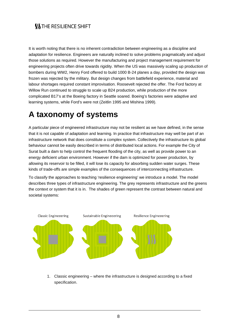It is worth noting that there is no inherent contradiction between engineering as a discipline and adaptation for resilience. Engineers are naturally inclined to solve problems pragmatically and adjust those solutions as required. However the manufacturing and project management requirement for engineering projects often drive towards rigidity. When the US was massively scaling up production of bombers during WW2, Henry Ford offered to build 1000 B-24 planes a day, provided the design was frozen was rejected by the military. But design changes from battlefield experience, material and labour shortages required constant improvisation. Roosevelt rejected the offer. The Ford factory at Willow Run continued to struggle to scale up B24 production, while production of the more complicated B17's at the Boeing factory in Seattle soared. Boeing's factories were adaptive and learning systems, while Ford's were not (Zeitlin 1995 and Mishina 1999).

## **A taxonomy of systems**

A particular piece of engineered infrastructure may not be resilient as we have defined, in the sense that it is not capable of adaptation and learning. In practice that infrastructure may well be part of an infrastructure network that does constitute a complex system. Collectively the infrastructure its global behaviour cannot be easily described in terms of distributed local actions. For example the City of Surat built a dam to help control the frequent flooding of the city, as well as provide power to an energy deficient urban environment. However if the dam is optimized for power production, by allowing its reservoir to be filled, it will lose its capacity for absorbing sudden water surges. These kinds of trade-offs are simple examples of the consequences of interconnecting infrastructure.

To classify the approaches to teaching 'resilience engineering' we introduce a model. The model describes three types of infrastructure engineering. The grey represents infrastructure and the greens the context or system that it is in. The shades of green represent the contrast between natural and societal systems:



1. Classic engineering – where the infrastructure is designed according to a fixed specification.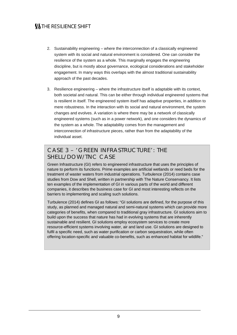- 2. Sustainability engineering where the interconnection of a classically engineered system with its social and natural environment is considered. One can consider the resilience of the system as a whole. This marginally engages the engineering discipline, but is mostly about governance, ecological considerations and stakeholder engagement. In many ways this overlaps with the almost traditional sustainability approach of the past decades.
- 3. Resilience engineering where the infrastructure itself is adaptable with its context, both societal and natural. This can be either through individual engineered systems that is resilient in itself. The engineered system itself has adaptive properties, in addition to mere robustness. In the interaction with its social and natural environment, the system changes and evolves. A variation is where there may be a network of classically engineered systems (such as in a power network), and one considers the dynamics of the system as a whole. The adaptability comes from the management and interconnection of infrastructure pieces, rather than from the adaptability of the individual asset.

#### CASE 3 – 'GREEN INFRASTRUCTURE': THE SHELL/DOW/TNC CASE

Green Infrastructure (GI) refers to engineered infrastructure that uses the principles of nature to perform its functions. Prime examples are artificial wetlands or reed beds for the treatment of waster waters from industrial operations. Turbulence (2014) contains case studies from Dow and Shell, written in partnership with The Nature Conservancy. It lists ten examples of the implementation of GI in various parts of the world and different companies, it describes the business case for GI and most interesting reflects on the barriers to implementing and scaling such solutions.

Turbulence (2014) defines GI as follows: "GI solutions are defined, for the purpose of this study, as planned and managed natural and semi-natural systems which can provide more categories of benefits, when compared to traditional gray infrastructure. GI solutions aim to build upon the success that nature has had in evolving systems that are inherently sustainable and resilient. GI solutions employ ecosystem services to create more resource-efficient systems involving water, air and land use. GI solutions are designed to fulfil a specific need, such as water purification or carbon sequestration, while often offering location-specific and valuable co-benefits, such as enhanced habitat for wildlife."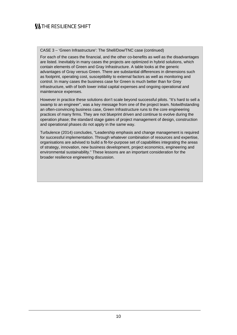CASE 3 – 'Green Infrastructure': The Shell/Dow/TNC case (continued)

For each of the cases the financial, and the other co-benefits as well as the disadvantages are listed. Inevitably in many cases the projects are optimized in hybrid solutions, which contain elements of Green and Gray Infrastructure. A table looks at the generic advantages of Gray versus Green. There are substantial differences in dimensions such as footprint, operating cost, susceptibility to external factors as well as monitoring and control. In many cases the business case for Green is much better than for Grey infrastructure, with of both lower initial capital expenses and ongoing operational and maintenance expenses.

However in practice these solutions don't scale beyond successful pilots. "It's hard to sell a swamp to an engineer", was a key message from one of the project team. Notwithstanding an often-convincing business case, Green Infrastructure runs to the core engineering practices of many firms. They are not blueprint driven and continue to evolve during the operation phase; the standard stage gates of project management of design, construction and operational phases do not apply in the same way.

Turbulence (2014) concludes, "Leadership emphasis and change management is required for successful implementation. Through whatever combination of resources and expertise, organisations are advised to build a fit-for-purpose set of capabilities integrating the areas of strategy, innovation, new business development, project economics, engineering and environmental sustainability." These lessons are an important consideration for the broader resilience engineering discussion.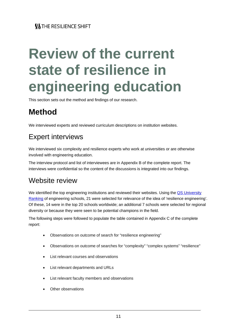# **Review of the current state of resilience in engineering education**

This section sets out the method and findings of our research.

# **Method**

We interviewed experts and reviewed curriculum descriptions on institution websites.

## Expert interviews

We interviewed six complexity and resilience experts who work at universities or are otherwise involved with engineering education.

The interview protocol and list of interviewees are in Appendix B of the complete report. The interviews were confidential so the content of the discussions is integrated into our findings.

## Website review

We identified the top engineering institutions and reviewed their websites. Using the QS University [Ranking](https://www.topuniversities.com/university-rankings/university-subject-rankings/2017/engineering-technology) of engineering schools, 21 were selected for relevance of the idea of 'resilience engineering'. Of these, 14 were in the top 20 schools worldwide; an additional 7 schools were selected for regional diversity or because they were seen to be potential champions in the field.

The following steps were followed to populate the table contained in Appendix C of the complete report:

- Observations on outcome of search for "resilience engineering"
- Observations on outcome of searches for "complexity" "complex systems" "resilience"
- List relevant courses and observations
- List relevant departments and URLs
- List relevant faculty members and observations
- **Other observations**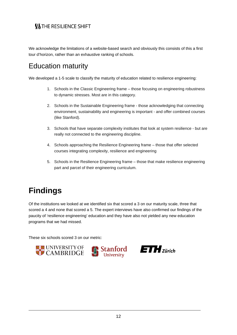We acknowledge the limitations of a website-based search and obviously this consists of this a first tour d'horizon, rather than an exhaustive ranking of schools.

## Education maturity

We developed a 1-5 scale to classify the maturity of education related to resilience engineering:

- 1. Schools in the Classic Engineering frame those focusing on engineering robustness to dynamic stresses. Most are in this category.
- 2. Schools in the Sustainable Engineering frame those acknowledging that connecting environment, sustainability and engineering is important - and offer combined courses (like Stanford).
- 3. Schools that have separate complexity institutes that look at system resilience but are really not connected to the engineering discipline.
- 4. Schools approaching the Resilience Engineering frame those that offer selected courses integrating complexity, resilience and engineering
- 5. Schools in the Resilience Engineering frame those that make resilience engineering part and parcel of their engineering curriculum.

## **Findings**

Of the institutions we looked at we identified six that scored a 3 on our maturity scale, three that scored a 4 and none that scored a 5. The expert interviews have also confirmed our findings of the paucity of 'resilience engineering' education and they have also not yielded any new education programs that we had missed.

These six schools scored 3 on our metric:





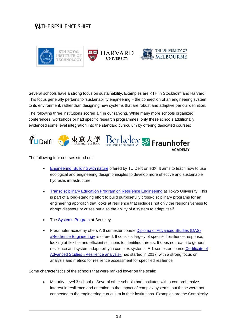

Several schools have a strong focus on sustainability. Examples are KTH in Stockholm and Harvard. This focus generally pertains to 'sustainability engineering' - the connection of an engineering system to its environment, rather than designing new systems that are robust and adaptive per our definition.

The following three institutions scored a 4 in our ranking. While many more schools organized conferences, workshops or had specific research programmes, only these schools additionally evidenced some level integration into the standard curriculum by offering dedicated courses:



The following four courses stood out:

- [Engineering: Building with nature](https://www.edx.org/course/engineering-building-nature-delftx-bwn101x-0) offered by TU Delft on edX. It aims to teach how to use ecological and engineering design principles to develop more effective and sustainable hydraulic infrastructure.
- [Transdisciplinary Education Program on Resilience Engineering](http://rerc.t.u-tokyo.ac.jp/html_en/edprogram.html) at Tokyo University. This is part of a long-standing effort to build purposefully cross-disciplinary programs for an engineering approach that looks at resilience that includes not only the responsiveness to abrupt disasters or crises but also the ability of a system to adapt itself.
- The [Systems Program](http://www.ce.berkeley.edu/programs/sys) at Berkeley.
- Fraunhofer academy offers A 6 semester course **Diploma of Advanced Studies (DAS)** [»Resilience Engineering«](http://www.academy.fraunhofer.de/de/weiterbildung/energie-nachhaltigkeit/resilience-engineering.html) is offered. It consists largely of specified resilience response, looking at flexible and efficient solutions to identified threats. It does not reach to general resilience and system adaptability in complex systems. A 1-semester course [Certificate of](http://www.academy.fraunhofer.de/de/weiterbildung/energie-nachhaltigkeit/resilience-engineering/resilienzanalyse.html)  [Advanced Studies »Resilience analysis«](http://www.academy.fraunhofer.de/de/weiterbildung/energie-nachhaltigkeit/resilience-engineering/resilienzanalyse.html) has started in 2017, with a strong focus on analysis and metrics for resilience assessment for specified resilience.

Some characteristics of the schools that were ranked lower on the scale:

• Maturity Level 3 schools - Several other schools had Institutes with a comprehensive interest in resilience and attention to the impact of complex systems, but these were not connected to the engineering curriculum in their institutions. Examples are the Complexity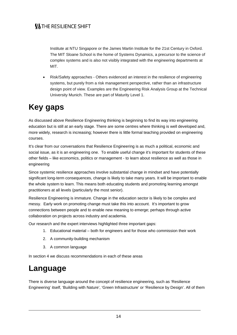Institute at NTU Singapore or the James Martin Institute for the 21st Century in Oxford. The MIT Sloane School is the home of Systems Dynamics, a precursor to the science of complex systems and is also not visibly integrated with the engineering departments at MIT.

• Risk/Safety approaches - Others evidenced an interest in the resilience of engineering systems, but purely from a risk management perspective, rather than an infrastructure design point of view. Examples are the Engineering Risk Analysis Group at the Technical University Munich. These are part of Maturity Level 1.

# **Key gaps**

As discussed above Resilience Engineering thinking is beginning to find its way into engineering education but is still at an early stage. There are some centres where thinking is well developed and, more widely, research is increasing; however there is little formal teaching provided on engineering courses.

It's clear from our conversations that Resilience Engineering is as much a political, economic and social issue, as it is an engineering one. To enable useful change it's important for students of these other fields – like economics, politics or management - to learn about resilience as well as those in engineering

Since systemic resilience approaches involve substantial change in mindset and have potentially significant long-term consequences, change is likely to take many years. It will be important to enable the whole system to learn. This means both educating students and promoting learning amongst practitioners at all levels (particularly the most senior).

Resilience Engineering is immature. Change in the education sector is likely to be complex and messy. Early work on promoting change must take this into account. It's important to grow connections between people and to enable new meaning to emerge; perhaps through active collaboration on projects across industry and academia.

Our research and the expert interviews highlighted three important gaps:

- 1. Educational material both for engineers and for those who commission their work
- 2. A community-building mechanism
- 3. A common language

In section 4 we discuss recommendations in each of these areas

## **Language**

There is diverse language around the concept of resilience engineering, such as 'Resilience Engineering' itself, 'Building with Nature', 'Green Infrastructure' or 'Resilience by Design'. All of them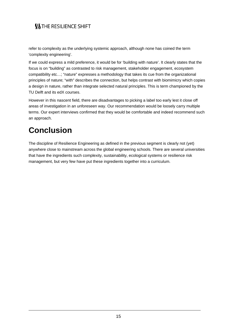refer to complexity as the underlying systemic approach, although none has coined the term 'complexity engineering'.

If we could express a mild preference, it would be for 'building with nature'. It clearly states that the focus is on "building" as contrasted to risk management, stakeholder engagement, ecosystem compatibility etc…; "nature" expresses a methodology that takes its cue from the organizational principles of nature; "with" describes the connection, but helps contrast with biomimicry which copies a design in nature, rather than integrate selected natural principles. This is term championed by the TU Delft and its edX courses.

However in this nascent field, there are disadvantages to picking a label too early lest it close off areas of investigation in an unforeseen way. Our recommendation would be loosely carry multiple terms. Our expert interviews confirmed that they would be comfortable and indeed recommend such an approach.

# **Conclusion**

The discipline of Resilience Engineering as defined in the previous segment is clearly not (yet) anywhere close to mainstream across the global engineering schools. There are several universities that have the ingredients such complexity, sustainability, ecological systems or resilience risk management, but very few have put these ingredients together into a curriculum.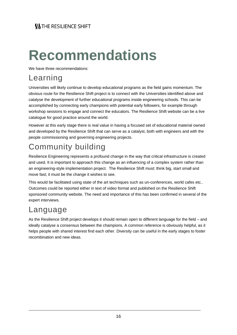# **Recommendations**

We have three recommendations:

## Learning

Universities will likely continue to develop educational programs as the field gains momentum. The obvious route for the Resilience Shift project is to connect with the Universities identified above and catalyse the development of further educational programs inside engineering schools. This can be accomplished by connecting early champions with potential early followers, for example through workshop sessions to engage and connect the educators. The Resilience Shift website can be a live catalogue for good practice around the world.

However at this early stage there is real value in having a focused set of educational material owned and developed by the Resilience Shift that can serve as a catalyst, both with engineers and with the people commissioning and governing engineering projects.

# Community building

Resilience Engineering represents a profound change in the way that critical infrastructure is created and used. It is important to approach this change as an influencing of a complex system rather than an engineering-style implementation project. The Resilience Shift must: think big, start small and move fast; it must be the change it wishes to see.

This would be facilitated using state of the art techniques such as un-conferences, world cafes etc.. Outcomes could be reported either in text of video format and published on the Resilience Shift sponsored community website. The need and importance of this has been confirmed in several of the expert interviews.

# Language

As the Resilience Shift project develops it should remain open to different language for the field – and ideally catalyse a consensus between the champions. A common reference is obviously helpful, as it helps people with shared interest find each other. Diversity can be useful in the early stages to foster recombination and new ideas.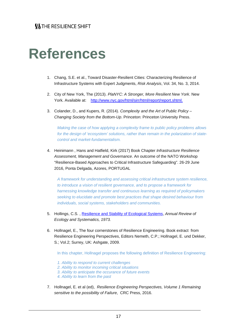# **References**

- 1. Chang, S.E. et al., Toward Disaster-Resilient Cities: Characterizing Resilience of Infrastructure Systems with Expert Judgments, *Risk Analysis*, Vol. 34, No. 3, 2014.
- 2. City of New York, The (2013). *PlaNYC: A Stronger, More Resilient New York*. New York. Available at: [http://www.nyc.gov/html/sirr/html/report/report.shtml.](http://www.nyc.gov/html/sirr/html/report/report.shtml)
- 3. Colander, D., and Kupers, R. (2014). *Complexity and the Art of Public Policy – Changing Society from the Bottom-Up*. Princeton: Princeton University Press.

*Making the case of how applying a complexity frame to public policy problems allows for the design of 'ecosystem' solutions, rather than remain in the polarization of statecontrol and market-fundamentalism.*

4. Heinimann , Hans and Hatfield, Kirk (2017) Book Chapter *Infrastructure Resilience Assessment, Management and Governance*. An outcome of the NATO Workshop "Resilience-Based Approaches to Critical Infrastructure Safeguarding". 26-29 June 2016, Ponta Delgada, Azores, PORTUGAL

*A framework for understanding and assessing critical infrastructure system resilience, to introduce a vision of resilient governance, and to propose a framework for harnessing knowledge transfer and continuous learning as required of policymakers seeking to elucidate and promote best practices that shape desired behaviour from individuals, social systems, stakeholders and communities.*

- 5. Hollings, C.S. , [Resilience and Stability of Ecological Systems,](http://www.jstor.org/stable/10.2307/2096802) *Annual Review of Ecology and Systematics, 1973.*
- 6. Hollnagel, E., The four cornerstones of Resilience Engineering. Book extract from Resilience Engineering Perspectives, Editors Nemeth, C.P.; Hollnagel, E. und Dekker, S.; Vol.2; Surrey, UK: Ashgate, 2009.

In this chapter, Hollnagel proposes the following definition of Resilience Engineering:

- *1. Ability to respond to current challenges*
- *2. Ability to monitor incoming critical situations*
- *3. Ability to anticipate the occurance of future events*
- *4. Ability to learn from the past*
- 7. Hollnagel, E. et al (ed), *Resilience Engineering Perspectives, Volume 1 Remaining sensitive to the possibility of Failure*, CRC Press, 2016.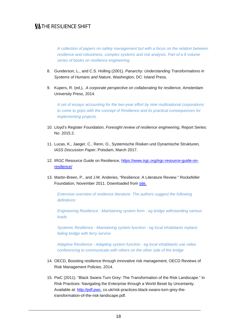*A collection of papers on safety management but with a focus on the relation between resilience and robustness, complex systems and risk analysis. Part of a 6 volume series of books on resilience engineering.* 

- 8. Gunderson, L., and C.S. Holling (2001). *Panarchy: Understanding Transformations in Systems of Humans and Nature*, Washington, DC: Island Press.
- 9. Kupers, R. (ed,), *A corporate perspective on collaborating for resilience*, Amsterdam University Press, 2014.

*A set of essays accounting for the two-year effort by nine multinational corporations to come to grips with the concept of Resilience and its practical consequences for implementing projects.*

- 10. Lloyd's Register Foundation, *Foresight review of resilience engineering*, Report Series: No. 2015.2.
- 11. Lucas, K., Jaeger, C., Renn, O., Systemische Risiken und Dynamische Strukturen*, IASS Discussion Paper*, Potsdam, March 2017.
- 12. IRGC Resource Guide on Resilience, [https://www.irgc.org/irgc-resource-guide-on](https://www.irgc.org/irgc-resource-guide-on-resilience/)[resilience/](https://www.irgc.org/irgc-resource-guide-on-resilience/)
- 13. Martin-Breen, P., and J.M. Anderies, "Resilience: A Literature Review." Rockefeller Foundation, November 2011. Downloaded from [site.](https://opendocs.ids.ac.uk/opendocs/bitstream/handle/123456789/3692/Bellagio-Rockefeller%20bp.pdf?sequence=1&isAllowed=y)

*Extensive overview of resilience literature. The authors suggest the following definitions:*

*Engineering Resilience - Maintaining system form - eg bridge withstanding various loads*

*Systemic Resilience - Maintaining system function - eg local inhabitants replace failing bridge with ferry service*

*Adaptive Resilience - Adapting system function - eg local inhabitants use video conferencing to communicate with others on the other side of the bridge*

- 14. OECD, Boosting resilience through innovative risk management, OECD Reviews of Risk Management Policies, 2014.
- 15. PwC (2011). "Black Swans Turn Grey: The Transformation of the Risk Landscape." In Risk Practices: Navigating the Enterprise through a World Beset by Uncertainty. Available at: [http://pdf.pwc.](http://pdf.pwc/) co.uk/risk-practices-black-swans-turn-grey-thetransformation-of-the-risk-landscape.pdf.